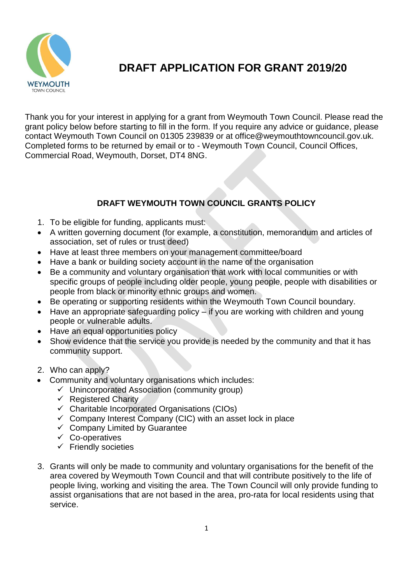

# **DRAFT APPLICATION FOR GRANT 2019/20**

Thank you for your interest in applying for a grant from Weymouth Town Council. Please read the grant policy below before starting to fill in the form. If you require any advice or guidance, please contact Weymouth Town Council on 01305 239839 or at office@weymouthtowncouncil.gov.uk. Completed forms to be returned by email or to - Weymouth Town Council, Council Offices, Commercial Road, Weymouth, Dorset, DT4 8NG.

### **DRAFT WEYMOUTH TOWN COUNCIL GRANTS POLICY**

- 1. To be eligible for funding, applicants must:
- A written governing document (for example, a constitution, memorandum and articles of association, set of rules or trust deed)
- Have at least three members on your management committee/board
- Have a bank or building society account in the name of the organisation
- Be a community and voluntary organisation that work with local communities or with specific groups of people including older people, young people, people with disabilities or people from black or minority ethnic groups and women.
- Be operating or supporting residents within the Weymouth Town Council boundary.
- Have an appropriate safeguarding policy if you are working with children and young people or vulnerable adults.
- Have an equal opportunities policy
- Show evidence that the service you provide is needed by the community and that it has community support.
- 2. Who can apply?
- Community and voluntary organisations which includes:
	- $\checkmark$  Unincorporated Association (community group)
	- $\checkmark$  Registered Charity
	- $\checkmark$  Charitable Incorporated Organisations (CIOs)
	- $\checkmark$  Company Interest Company (CIC) with an asset lock in place
	- $\checkmark$  Company Limited by Guarantee
	- ✓ Co-operatives
	- $\checkmark$  Friendly societies
- 3. Grants will only be made to community and voluntary organisations for the benefit of the area covered by Weymouth Town Council and that will contribute positively to the life of people living, working and visiting the area. The Town Council will only provide funding to assist organisations that are not based in the area, pro-rata for local residents using that service.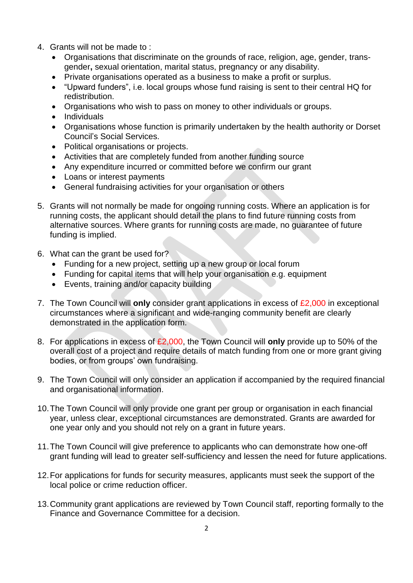- 4. Grants will not be made to :
	- Organisations that discriminate on the grounds of race, religion, age, gender, transgender**,** sexual orientation, marital status, pregnancy or any disability.
	- Private organisations operated as a business to make a profit or surplus.
	- "Upward funders", i.e. local groups whose fund raising is sent to their central HQ for redistribution.
	- Organisations who wish to pass on money to other individuals or groups.
	- Individuals
	- Organisations whose function is primarily undertaken by the health authority or Dorset Council's Social Services.
	- Political organisations or projects.
	- Activities that are completely funded from another funding source
	- Any expenditure incurred or committed before we confirm our grant
	- Loans or interest payments
	- General fundraising activities for your organisation or others
- 5. Grants will not normally be made for ongoing running costs. Where an application is for running costs, the applicant should detail the plans to find future running costs from alternative sources. Where grants for running costs are made, no guarantee of future funding is implied.
- 6. What can the grant be used for?
	- Funding for a new project, setting up a new group or local forum
	- Funding for capital items that will help your organisation e.g. equipment
	- Events, training and/or capacity building
- 7. The Town Council will **only** consider grant applications in excess of £2,000 in exceptional circumstances where a significant and wide-ranging community benefit are clearly demonstrated in the application form.
- 8. For applications in excess of £2,000, the Town Council will **only** provide up to 50% of the overall cost of a project and require details of match funding from one or more grant giving bodies, or from groups' own fundraising.
- 9. The Town Council will only consider an application if accompanied by the required financial and organisational information.
- 10.The Town Council will only provide one grant per group or organisation in each financial year, unless clear, exceptional circumstances are demonstrated. Grants are awarded for one year only and you should not rely on a grant in future years.
- 11.The Town Council will give preference to applicants who can demonstrate how one-off grant funding will lead to greater self-sufficiency and lessen the need for future applications.
- 12.For applications for funds for security measures, applicants must seek the support of the local police or crime reduction officer.
- 13.Community grant applications are reviewed by Town Council staff, reporting formally to the Finance and Governance Committee for a decision.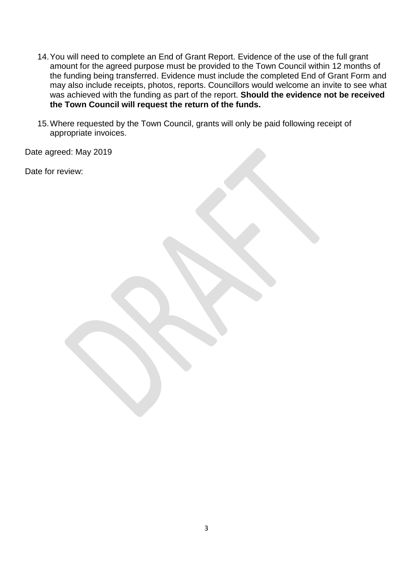- 14.You will need to complete an End of Grant Report. Evidence of the use of the full grant amount for the agreed purpose must be provided to the Town Council within 12 months of the funding being transferred. Evidence must include the completed End of Grant Form and may also include receipts, photos, reports. Councillors would welcome an invite to see what was achieved with the funding as part of the report. **Should the evidence not be received the Town Council will request the return of the funds.**
- 15.Where requested by the Town Council, grants will only be paid following receipt of appropriate invoices.

Date agreed: May 2019

Date for review: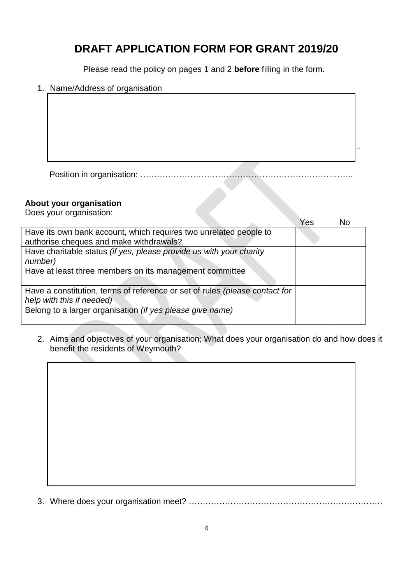## **DRAFT APPLICATION FORM FOR GRANT 2019/20**

Please read the policy on pages 1 and 2 **before** filling in the form.

#### 1. Name/Address of organisation

Position in organisation: …………………………………………………………………..

Contact name: ………………………………………………………………………………..

#### **About your organisation**

Does your organisation:

|                                                                             | Yes | N٥ |
|-----------------------------------------------------------------------------|-----|----|
| Have its own bank account, which requires two unrelated people to           |     |    |
| authorise cheques and make withdrawals?                                     |     |    |
| Have charitable status (if yes, please provide us with your charity         |     |    |
| number)                                                                     |     |    |
| Have at least three members on its management committee                     |     |    |
|                                                                             |     |    |
| Have a constitution, terms of reference or set of rules (please contact for |     |    |
| help with this if needed)                                                   |     |    |
| Belong to a larger organisation (if yes please give name)                   |     |    |
|                                                                             |     |    |

2. Aims and objectives of your organisation; What does your organisation do and how does it benefit the residents of Weymouth?

3. Where does your organisation meet? …………………………………………………………….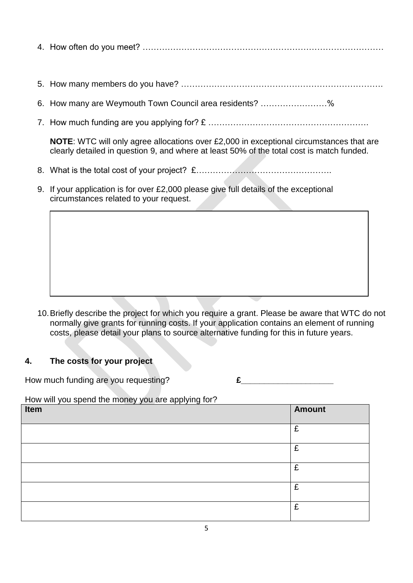4. How often do you meet? ……………………………………………………………………………

- 5. How many members do you have? ……………………………………………………………….
- 6. How many are Weymouth Town Council area residents? ……………………%
- 7. How much funding are you applying for? £ ………………………………………………….

**NOTE**: WTC will only agree allocations over £2,000 in exceptional circumstances that are clearly detailed in question 9, and where at least 50% of the total cost is match funded.

- 8. What is the total cost of your project? £………………………………………….
- 9. If your application is for over £2,000 please give full details of the exceptional circumstances related to your request.

10.Briefly describe the project for which you require a grant. Please be aware that WTC do not normally give grants for running costs. If your application contains an element of running costs, please detail your plans to source alternative funding for this in future years.

#### **4. The costs for your project**

How much funding are you requesting?<br> **E** 

How will you spend the money you are applying for?

| Item | <b>Amount</b> |
|------|---------------|
|      | £             |
|      | £             |
|      | £             |
|      | £             |
|      | £             |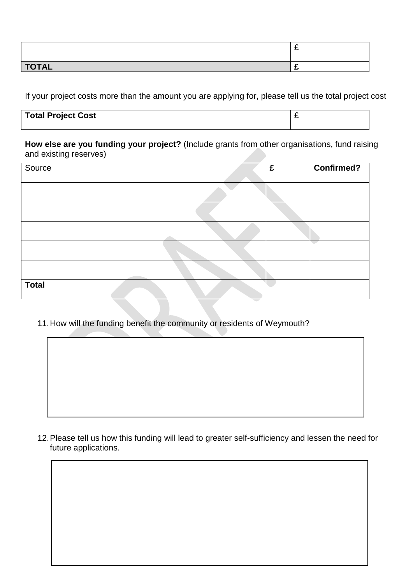|              | - |
|--------------|---|
| <b>TOTAL</b> |   |

If your project costs more than the amount you are applying for, please tell us the total project cost

| <b>Total Project Cost</b> |  |
|---------------------------|--|
|                           |  |

**How else are you funding your project?** (Include grants from other organisations, fund raising and existing reserves)

| Source       | £ | Confirmed? |
|--------------|---|------------|
|              |   |            |
|              |   |            |
|              |   |            |
|              |   | a sa       |
|              |   |            |
| <b>Total</b> |   |            |

11.How will the funding benefit the community or residents of Weymouth?

12.Please tell us how this funding will lead to greater self-sufficiency and lessen the need for future applications.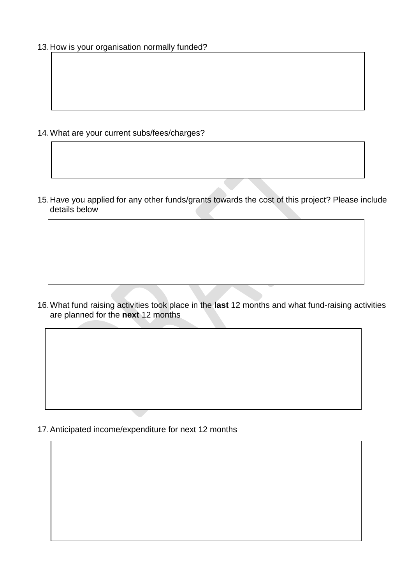13.How is your organisation normally funded?

- 14.What are your current subs/fees/charges?
- 15.Have you applied for any other funds/grants towards the cost of this project? Please include details below

16.What fund raising activities took place in the **last** 12 months and what fund-raising activities are planned for the **next** 12 months

17.Anticipated income/expenditure for next 12 months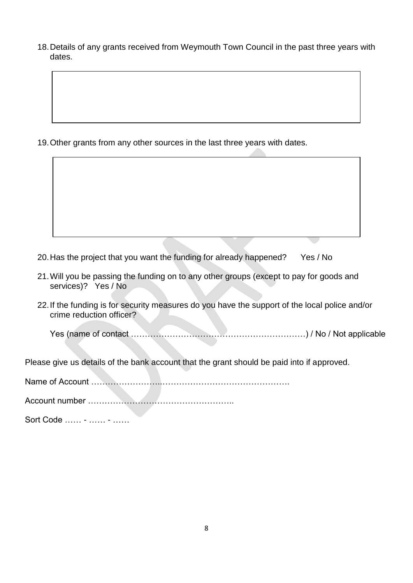18.Details of any grants received from Weymouth Town Council in the past three years with dates.

19.Other grants from any other sources in the last three years with dates.

- 20.Has the project that you want the funding for already happened? Yes / No
- 21.Will you be passing the funding on to any other groups (except to pay for goods and services)? Yes / No
- 22.If the funding is for security measures do you have the support of the local police and/or crime reduction officer?

Yes (name of contact ………………………………………………………) / No / Not applicable

Please give us details of the bank account that the grant should be paid into if approved.

Name of Account ……………………..……………………………………….

Account number ……………………………………………..

Sort Code …… - …… - ……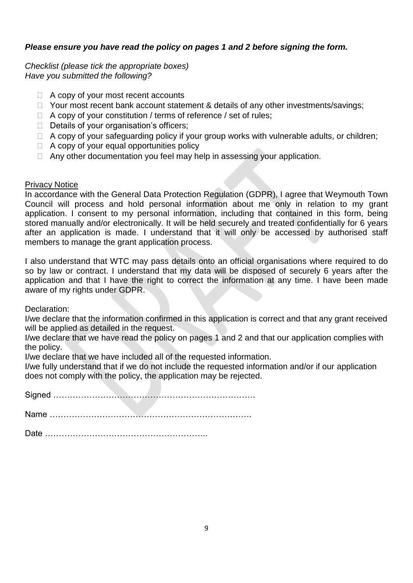#### *Please ensure you have read the policy on pages 1 and 2 before signing the form.*

*Checklist (please tick the appropriate boxes) Have you submitted the following?*

- $\Box$  A copy of your most recent accounts
- $\Box$  Your most recent bank account statement & details of any other investments/savings;
- $\Box$  A copy of your constitution / terms of reference / set of rules;
- $\Box$  Details of your organisation's officers;
- $\Box$  A copy of your safeguarding policy if your group works with vulnerable adults, or children;
- $\Box$  A copy of your equal opportunities policy
- $\Box$  Any other documentation you feel may help in assessing your application.

#### Privacy Notice

In accordance with the General Data Protection Regulation (GDPR), I agree that Weymouth Town Council will process and hold personal information about me only in relation to my grant application. I consent to my personal information, including that contained in this form, being stored manually and/or electronically. It will be held securely and treated confidentially for 6 years after an application is made. I understand that it will only be accessed by authorised staff members to manage the grant application process.

I also understand that WTC may pass details onto an official organisations where required to do so by law or contract. I understand that my data will be disposed of securely 6 years after the application and that I have the right to correct the information at any time. I have been made aware of my rights under GDPR.

Declaration:

I/we declare that the information confirmed in this application is correct and that any grant received will be applied as detailed in the request.

I/we declare that we have read the policy on pages 1 and 2 and that our application complies with the policy.

I/we declare that we have included all of the requested information.

I/we fully understand that if we do not include the requested information and/or if our application does not comply with the policy, the application may be rejected.

Signed ……………………………………………………………….

Name ……………………………………………………………….

Date …………………………………………………..